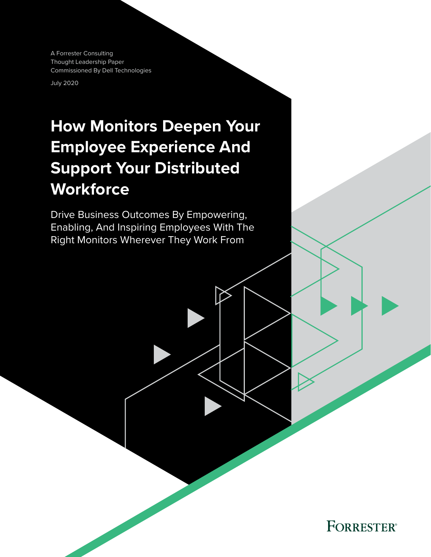A Forrester Consulting Thought Leadership Paper Commissioned By Dell Technologies

July 2020

# **How Monitors Deepen Your Employee Experience And Support Your Distributed Workforce**

Drive Business Outcomes By Empowering, Enabling, And Inspiring Employees With The Right Monitors Wherever They Work From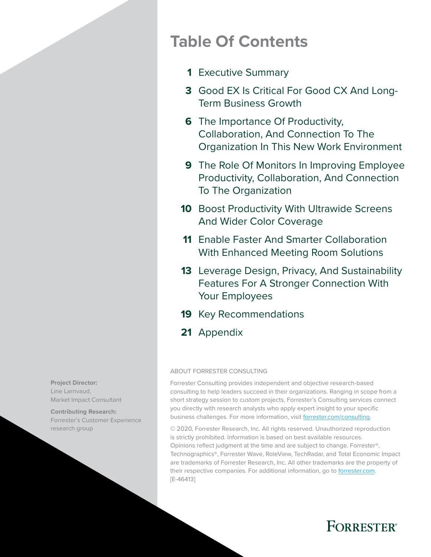# **Table Of Contents**

- [Executive Summary](#page-2-0) **1**
- [Good EX Is Critical For Good CX And Long-](#page-4-0)**3** [Term Business Growth](#page-4-0)
- **6** The Importance Of Productivity, [Collaboration, And Connection To The](#page-7-0)  [Organization In This New Work Environment](#page-7-0)
- [The Role Of Monitors In Improving Employee](#page-10-0)  **9** [Productivity, Collaboration, And Connection](#page-10-0)  [To The Organization](#page-10-0)
- **10** Boost Productivity With Ultrawide Screens [And Wider Color Coverage](#page-11-0)
- [Enable Faster And Smarter Collaboration](#page-12-0)  **11** [With Enhanced Meeting Room Solutions](#page-12-0)
- 13 Leverage Design, Privacy, And Sustainability [Features For A Stronger Connection With](#page-14-0)  [Your Employees](#page-14-0)
- 19 [Key Recommendations](#page-20-0)
- 21 [Appendix](#page-22-0)

### ABOUT FORRESTER CONSULTING

Forrester Consulting provides independent and objective research-based consulting to help leaders succeed in their organizations. Ranging in scope from a short strategy session to custom projects, Forrester's Consulting services connect you directly with research analysts who apply expert insight to your specific business challenges. For more information, visit [forrester.com/consulting.](https://go.forrester.com/consulting/)

© 2020, Forrester Research, Inc. All rights reserved. Unauthorized reproduction is strictly prohibited. Information is based on best available resources. Opinions reflect judgment at the time and are subject to change. Forrester®, Technographics®, Forrester Wave, RoleView, TechRadar, and Total Economic Impact are trademarks of Forrester Research, Inc. All other trademarks are the property of their respective companies. For additional information, go to [forrester.com](https://www.forrester.com/home/). [E-46413]



**Contributing Research:**  Forrester's Customer Experience research group

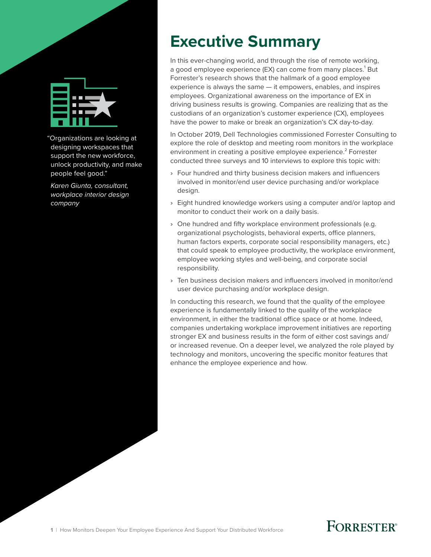<span id="page-2-0"></span>

"Organizations are looking at designing workspaces that support the new workforce, unlock productivity, and make people feel good."

*Karen Giunta, consultant, workplace interior design company*

# **Executive Summary**

In this ever-changing world, and through the rise of remote working, a good employee experience (EX) can come from many places.<sup>1</sup> But Forrester's research shows that the hallmark of a good employee experience is always the same — it empowers, enables, and inspires employees. Organizational awareness on the importance of EX in driving business results is growing. Companies are realizing that as the custodians of an organization's customer experience (CX), employees have the power to make or break an organization's CX day-to-day.

In October 2019, Dell Technologies commissioned Forrester Consulting to explore the role of desktop and meeting room monitors in the workplace environment in creating a positive employee experience.<sup>2</sup> Forrester conducted three surveys and 10 interviews to explore this topic with:

- › Four hundred and thirty business decision makers and influencers involved in monitor/end user device purchasing and/or workplace design.
- › Eight hundred knowledge workers using a computer and/or laptop and monitor to conduct their work on a daily basis.
- › One hundred and fifty workplace environment professionals (e.g. organizational psychologists, behavioral experts, office planners, human factors experts, corporate social responsibility managers, etc.) that could speak to employee productivity, the workplace environment, employee working styles and well-being, and corporate social responsibility.
- › Ten business decision makers and influencers involved in monitor/end user device purchasing and/or workplace design.

In conducting this research, we found that the quality of the employee experience is fundamentally linked to the quality of the workplace environment, in either the traditional office space or at home. Indeed, companies undertaking workplace improvement initiatives are reporting stronger EX and business results in the form of either cost savings and/ or increased revenue. On a deeper level, we analyzed the role played by technology and monitors, uncovering the specific monitor features that enhance the employee experience and how.

# **FORRESTER**<sup>®</sup>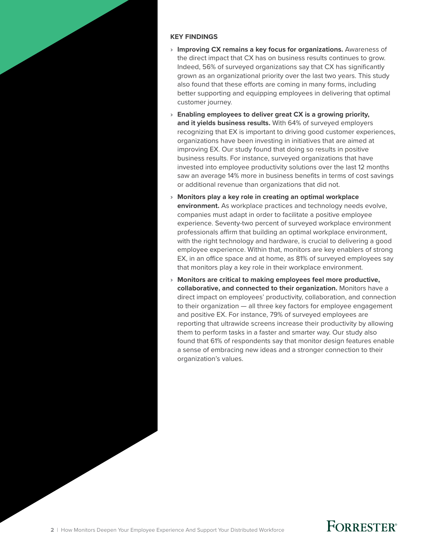#### **KEY FINDINGS**

- › **Improving CX remains a key focus for organizations.** Awareness of the direct impact that CX has on business results continues to grow. Indeed, 56% of surveyed organizations say that CX has significantly grown as an organizational priority over the last two years. This study also found that these efforts are coming in many forms, including better supporting and equipping employees in delivering that optimal customer journey.
- › **Enabling employees to deliver great CX is a growing priority, and it yields business results.** With 64% of surveyed employers recognizing that EX is important to driving good customer experiences, organizations have been investing in initiatives that are aimed at improving EX. Our study found that doing so results in positive business results. For instance, surveyed organizations that have invested into employee productivity solutions over the last 12 months saw an average 14% more in business benefits in terms of cost savings or additional revenue than organizations that did not.
- › **Monitors play a key role in creating an optimal workplace environment.** As workplace practices and technology needs evolve, companies must adapt in order to facilitate a positive employee experience. Seventy-two percent of surveyed workplace environment professionals affirm that building an optimal workplace environment, with the right technology and hardware, is crucial to delivering a good employee experience. Within that, monitors are key enablers of strong EX, in an office space and at home, as 81% of surveyed employees say that monitors play a key role in their workplace environment.
- › **Monitors are critical to making employees feel more productive, collaborative, and connected to their organization.** Monitors have a direct impact on employees' productivity, collaboration, and connection to their organization — all three key factors for employee engagement and positive EX. For instance, 79% of surveyed employees are reporting that ultrawide screens increase their productivity by allowing them to perform tasks in a faster and smarter way. Our study also found that 61% of respondents say that monitor design features enable a sense of embracing new ideas and a stronger connection to their organization's values.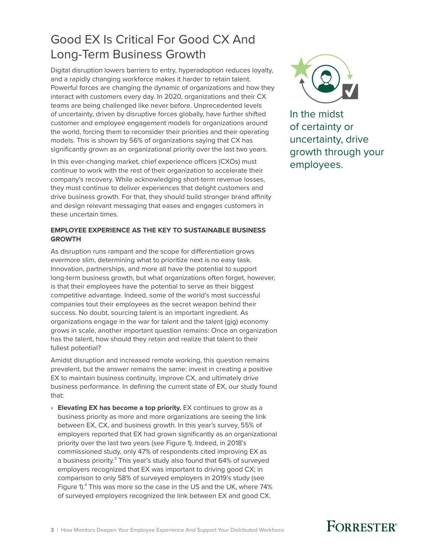## <span id="page-4-0"></span>Good EX Is Critical For Good CX And Long-Term Business Growth

Digital disruption lowers barriers to entry, hyperadoption reduces loyalty, and a rapidly changing workforce makes it harder to retain talent. Powerful forces are changing the dynamic of organizations and how they interact with customers every day. In 2020, organizations and their CX teams are being challenged like never before. Unprecedented levels of uncertainty, driven by disruptive forces globally, have further shifted customer and employee engagement models for organizations around the world, forcing them to reconsider their priorities and their operating models. This is shown by 56% of organizations saying that CX has significantly grown as an organizational priority over the last two years.

In this ever-changing market, chief experience officers (CXOs) must continue to work with the rest of their organization to accelerate their company's recovery. While acknowledging short-term revenue losses, they must continue to deliver experiences that delight customers and drive business growth. For that, they should build stronger brand affinity and design relevant messaging that eases and engages customers in these uncertain times.

### **EMPLOYEE EXPERIENCE AS THE KEY TO SUSTAINABLE BUSINESS GROWTH**

As disruption runs rampant and the scope for differentiation grows evermore slim, determining what to prioritize next is no easy task. Innovation, partnerships, and more all have the potential to support long-term business growth, but what organizations often forget, however, is that their employees have the potential to serve as their biggest competitive advantage. Indeed, some of the world's most successful companies tout their employees as the secret weapon behind their success. No doubt, sourcing talent is an important ingredient. As organizations engage in the war for talent and the talent (gig) economy grows in scale, another important question remains: Once an organization has the talent, how should they retain and realize that talent to their fullest potential?

Amidst disruption and increased remote working, this question remains prevalent, but the answer remains the same: invest in creating a positive EX to maintain business continuity, improve CX, and ultimately drive business performance. In defining the current state of EX, our study found that:

› **Elevating EX has become a top priority.** EX continues to grow as a business priority as more and more organizations are seeing the link between EX, CX, and business growth. In this year's survey, 55% of employers reported that EX had grown significantly as an organizational priority over the last two years (see Figure 1). Indeed, in 2018's commissioned study, only 47% of respondents cited improving EX as a business priority.<sup>3</sup> This year's study also found that 64% of surveyed employers recognized that EX was important to driving good CX; in comparison to only 58% of surveyed employers in 2019's study (see Figure 1).<sup>4</sup> This was more so the case in the US and the UK, where 74% of surveyed employers recognized the link between EX and good CX.



In the midst of certainty or uncertainty, drive growth through your employees.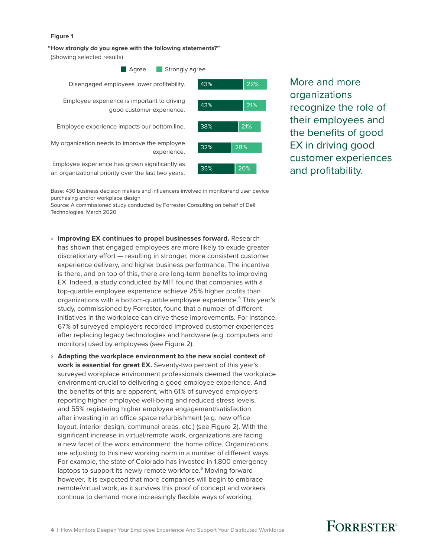#### **Figure 1**

**"How strongly do you agree with the following statements?"** 

(Showing selected results)



More and more organizations recognize the role of their employees and the benefits of good EX in driving good customer experiences and profitability.

Base: 430 business decision makers and influencers involved in monitor/end user device purchasing and/or workplace design

Source: A commissioned study conducted by Forrester Consulting on behalf of Dell Technologies, March 2020

- › **Improving EX continues to propel businesses forward.** Research has shown that engaged employees are more likely to exude greater discretionary effort — resulting in stronger, more consistent customer experience delivery, and higher business performance. The incentive is there, and on top of this, there are long-term benefits to improving EX. Indeed, a study conducted by MIT found that companies with a top-quartile employee experience achieve 25% higher profits than organizations with a bottom-quartile employee experience.<sup>5</sup> This year's study, commissioned by Forrester, found that a number of different initiatives in the workplace can drive these improvements. For instance, 67% of surveyed employers recorded improved customer experiences after replacing legacy technologies and hardware (e.g. computers and monitors) used by employees (see Figure 2).
- › **Adapting the workplace environment to the new social context of work is essential for great EX.** Seventy-two percent of this year's surveyed workplace environment professionals deemed the workplace environment crucial to delivering a good employee experience. And the benefits of this are apparent, with 61% of surveyed employers reporting higher employee well-being and reduced stress levels, and 55% registering higher employee engagement/satisfaction after investing in an office space refurbishment (e.g. new office layout, interior design, communal areas, etc.) (see Figure 2). With the significant increase in virtual/remote work, organizations are facing a new facet of the work environment: the home office. Organizations are adjusting to this new working norm in a number of different ways. For example, the state of Colorado has invested in 1,800 emergency laptops to support its newly remote workforce.<sup>6</sup> Moving forward however, it is expected that more companies will begin to embrace remote/virtual work, as it survives this proof of concept and workers continue to demand more increasingly flexible ways of working.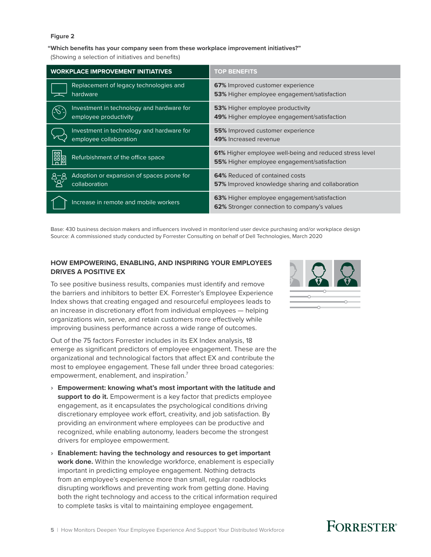#### **Figure 2**

#### **"Which benefits has your company seen from these workplace improvement initiatives?"**

(Showing a selection of initiatives and benefits)

| <b>WORKPLACE IMPROVEMENT INITIATIVES</b>                              | <b>TOP BENEFITS</b>                                                                        |
|-----------------------------------------------------------------------|--------------------------------------------------------------------------------------------|
| Replacement of legacy technologies and                                | 67% Improved customer experience                                                           |
| hardware                                                              | <b>53%</b> Higher employee engagement/satisfaction                                         |
| Investment in technology and hardware for                             | <b>53%</b> Higher employee productivity                                                    |
| employee productivity                                                 | <b>49%</b> Higher employee engagement/satisfaction                                         |
| Investment in technology and hardware for                             | <b>55%</b> Improved customer experience                                                    |
| employee collaboration                                                | 49% Increased revenue                                                                      |
| 鷼                                                                     | 61% Higher employee well-being and reduced stress level                                    |
| Refurbishment of the office space                                     | <b>55%</b> Higher employee engagement/satisfaction                                         |
| Adoption or expansion of spaces prone for<br>$A - B$<br>collaboration | 64% Reduced of contained costs<br><b>57%</b> Improved knowledge sharing and collaboration  |
| Increase in remote and mobile workers                                 | 63% Higher employee engagement/satisfaction<br>62% Stronger connection to company's values |

Base: 430 business decision makers and influencers involved in monitor/end user device purchasing and/or workplace design Source: A commissioned study conducted by Forrester Consulting on behalf of Dell Technologies, March 2020

### **HOW EMPOWERING, ENABLING, AND INSPIRING YOUR EMPLOYEES DRIVES A POSITIVE EX**

To see positive business results, companies must identify and remove the barriers and inhibitors to better EX. Forrester's Employee Experience Index shows that creating engaged and resourceful employees leads to an increase in discretionary effort from individual employees — helping organizations win, serve, and retain customers more effectively while improving business performance across a wide range of outcomes.

Out of the 75 factors Forrester includes in its EX Index analysis, 18 emerge as significant predictors of employee engagement. These are the organizational and technological factors that affect EX and contribute the most to employee engagement. These fall under three broad categories: empowerment, enablement, and inspiration.<sup>7</sup>

- › **Empowerment: knowing what's most important with the latitude and support to do it.** Empowerment is a key factor that predicts employee engagement, as it encapsulates the psychological conditions driving discretionary employee work effort, creativity, and job satisfaction. By providing an environment where employees can be productive and recognized, while enabling autonomy, leaders become the strongest drivers for employee empowerment.
- › **Enablement: having the technology and resources to get important work done.** Within the knowledge workforce, enablement is especially important in predicting employee engagement. Nothing detracts from an employee's experience more than small, regular roadblocks disrupting workflows and preventing work from getting done. Having both the right technology and access to the critical information required to complete tasks is vital to maintaining employee engagement.

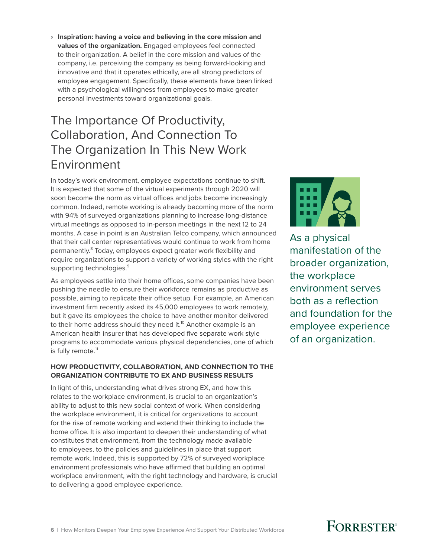<span id="page-7-0"></span>› **Inspiration: having a voice and believing in the core mission and values of the organization.** Engaged employees feel connected to their organization. A belief in the core mission and values of the company, i.e. perceiving the company as being forward-looking and innovative and that it operates ethically, are all strong predictors of employee engagement. Specifically, these elements have been linked with a psychological willingness from employees to make greater personal investments toward organizational goals.

## The Importance Of Productivity, Collaboration, And Connection To The Organization In This New Work Environment

In today's work environment, employee expectations continue to shift. It is expected that some of the virtual experiments through 2020 will soon become the norm as virtual offices and jobs become increasingly common. Indeed, remote working is already becoming more of the norm with 94% of surveyed organizations planning to increase long-distance virtual meetings as opposed to in-person meetings in the next 12 to 24 months. A case in point is an Australian Telco company, which announced that their call center representatives would continue to work from home permanently.<sup>8</sup> Today, employees expect greater work flexibility and require organizations to support a variety of working styles with the right supporting technologies.<sup>9</sup>

As employees settle into their home offices, some companies have been pushing the needle to ensure their workforce remains as productive as possible, aiming to replicate their office setup. For example, an American investment firm recently asked its 45,000 employees to work remotely, but it gave its employees the choice to have another monitor delivered to their home address should they need it.<sup>10</sup> Another example is an American health insurer that has developed five separate work style programs to accommodate various physical dependencies, one of which is fully remote.<sup>11</sup>

### **HOW PRODUCTIVITY, COLLABORATION, AND CONNECTION TO THE ORGANIZATION CONTRIBUTE TO EX AND BUSINESS RESULTS**

In light of this, understanding what drives strong EX, and how this relates to the workplace environment, is crucial to an organization's ability to adjust to this new social context of work. When considering the workplace environment, it is critical for organizations to account for the rise of remote working and extend their thinking to include the home office. It is also important to deepen their understanding of what constitutes that environment, from the technology made available to employees, to the policies and guidelines in place that support remote work. Indeed, this is supported by 72% of surveyed workplace environment professionals who have affirmed that building an optimal workplace environment, with the right technology and hardware, is crucial to delivering a good employee experience.



As a physical manifestation of the broader organization, the workplace environment serves both as a reflection and foundation for the employee experience of an organization.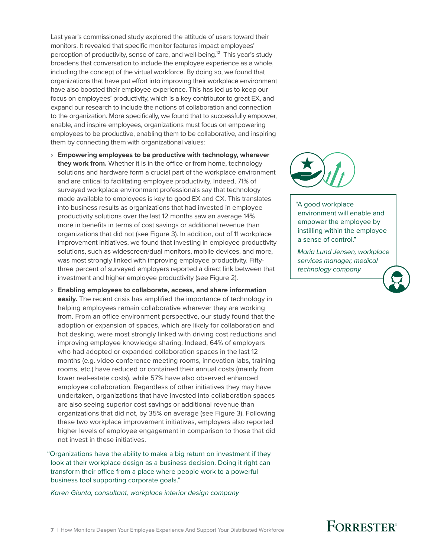Last year's commissioned study explored the attitude of users toward their monitors. It revealed that specific monitor features impact employees' perception of productivity, sense of care, and well-being.<sup>12</sup> This year's study broadens that conversation to include the employee experience as a whole, including the concept of the virtual workforce. By doing so, we found that organizations that have put effort into improving their workplace environment have also boosted their employee experience. This has led us to keep our focus on employees' productivity, which is a key contributor to great EX, and expand our research to include the notions of collaboration and connection to the organization. More specifically, we found that to successfully empower, enable, and inspire employees, organizations must focus on empowering employees to be productive, enabling them to be collaborative, and inspiring them by connecting them with organizational values:

- › **Empowering employees to be productive with technology, wherever they work from.** Whether it is in the office or from home, technology solutions and hardware form a crucial part of the workplace environment and are critical to facilitating employee productivity. Indeed, 71% of surveyed workplace environment professionals say that technology made available to employees is key to good EX and CX. This translates into business results as organizations that had invested in employee productivity solutions over the last 12 months saw an average 14% more in benefits in terms of cost savings or additional revenue than organizations that did not (see Figure 3). In addition, out of 11 workplace improvement initiatives, we found that investing in employee productivity solutions, such as widescreen/dual monitors, mobile devices, and more, was most strongly linked with improving employee productivity. Fiftythree percent of surveyed employers reported a direct link between that investment and higher employee productivity (see Figure 2).
- › **Enabling employees to collaborate, access, and share information easily.** The recent crisis has amplified the importance of technology in helping employees remain collaborative wherever they are working from. From an office environment perspective, our study found that the adoption or expansion of spaces, which are likely for collaboration and hot desking, were most strongly linked with driving cost reductions and improving employee knowledge sharing. Indeed, 64% of employers who had adopted or expanded collaboration spaces in the last 12 months (e.g. video conference meeting rooms, innovation labs, training rooms, etc.) have reduced or contained their annual costs (mainly from lower real-estate costs), while 57% have also observed enhanced employee collaboration. Regardless of other initiatives they may have undertaken, organizations that have invested into collaboration spaces are also seeing superior cost savings or additional revenue than organizations that did not, by 35% on average (see Figure 3). Following these two workplace improvement initiatives, employers also reported higher levels of employee engagement in comparison to those that did not invest in these initiatives.

"Organizations have the ability to make a big return on investment if they look at their workplace design as a business decision. Doing it right can transform their office from a place where people work to a powerful business tool supporting corporate goals."

 *Karen Giunta, consultant, workplace interior design company*



"A good workplace environment will enable and empower the employee by instilling within the employee a sense of control."

 *Maria Lund Jensen, workplace services manager, medical technology company*

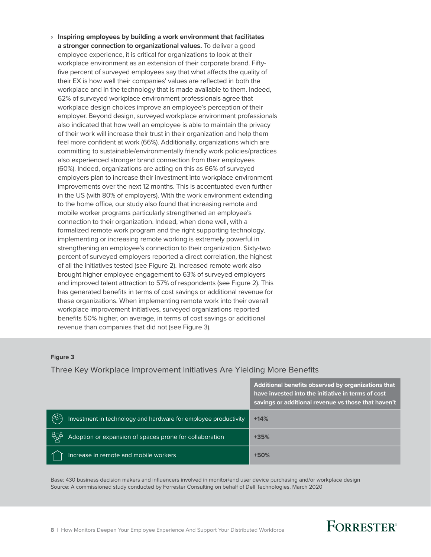› **Inspiring employees by building a work environment that facilitates a stronger connection to organizational values.** To deliver a good employee experience, it is critical for organizations to look at their workplace environment as an extension of their corporate brand. Fiftyfive percent of surveyed employees say that what affects the quality of their EX is how well their companies' values are reflected in both the workplace and in the technology that is made available to them. Indeed, 62% of surveyed workplace environment professionals agree that workplace design choices improve an employee's perception of their employer. Beyond design, surveyed workplace environment professionals also indicated that how well an employee is able to maintain the privacy of their work will increase their trust in their organization and help them feel more confident at work (66%). Additionally, organizations which are committing to sustainable/environmentally friendly work policies/practices also experienced stronger brand connection from their employees (60%). Indeed, organizations are acting on this as 66% of surveyed employers plan to increase their investment into workplace environment improvements over the next 12 months. This is accentuated even further in the US (with 80% of employers). With the work environment extending to the home office, our study also found that increasing remote and mobile worker programs particularly strengthened an employee's connection to their organization. Indeed, when done well, with a formalized remote work program and the right supporting technology, implementing or increasing remote working is extremely powerful in strengthening an employee's connection to their organization. Sixty-two percent of surveyed employers reported a direct correlation, the highest of all the initiatives tested (see Figure 2). Increased remote work also brought higher employee engagement to 63% of surveyed employers and improved talent attraction to 57% of respondents (see Figure 2). This has generated benefits in terms of cost savings or additional revenue for these organizations. When implementing remote work into their overall workplace improvement initiatives, surveyed organizations reported benefits 50% higher, on average, in terms of cost savings or additional revenue than companies that did not (see Figure 3).

#### **Figure 3**

#### Three Key Workplace Improvement Initiatives Are Yielding More Benefits

|                                                                        | Additional benefits observed by organizations that<br>have invested into the initiative in terms of cost<br>savings or additional revenue vs those that haven't |
|------------------------------------------------------------------------|-----------------------------------------------------------------------------------------------------------------------------------------------------------------|
| (5)<br>Investment in technology and hardware for employee productivity | $+14%$                                                                                                                                                          |
| ್ಸಿನ್ಸ<br>Adoption or expansion of spaces prone for collaboration      | $+35%$                                                                                                                                                          |
| Increase in remote and mobile workers                                  | $+50%$                                                                                                                                                          |

Base: 430 business decision makers and influencers involved in monitor/end user device purchasing and/or workplace design Source: A commissioned study conducted by Forrester Consulting on behalf of Dell Technologies, March 2020

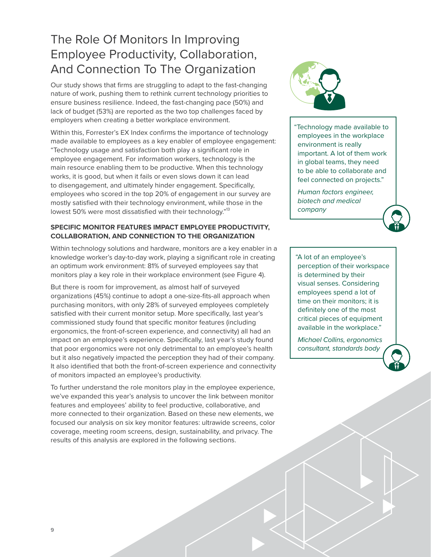## <span id="page-10-0"></span>The Role Of Monitors In Improving Employee Productivity, Collaboration, And Connection To The Organization

Our study shows that firms are struggling to adapt to the fast-changing nature of work, pushing them to rethink current technology priorities to ensure business resilience. Indeed, the fast-changing pace (50%) and lack of budget (53%) are reported as the two top challenges faced by employers when creating a better workplace environment.

Within this, Forrester's EX Index confirms the importance of technology made available to employees as a key enabler of employee engagement: "Technology usage and satisfaction both play a significant role in employee engagement. For information workers, technology is the main resource enabling them to be productive. When this technology works, it is good, but when it fails or even slows down it can lead to disengagement, and ultimately hinder engagement. Specifically, employees who scored in the top 20% of engagement in our survey are mostly satisfied with their technology environment, while those in the lowest 50% were most dissatisfied with their technology."<sup>13</sup>

### **SPECIFIC MONITOR FEATURES IMPACT EMPLOYEE PRODUCTIVITY, COLLABORATION, AND CONNECTION TO THE ORGANIZATION**

Within technology solutions and hardware, monitors are a key enabler in a knowledge worker's day-to-day work, playing a significant role in creating an optimum work environment: 81% of surveyed employees say that monitors play a key role in their workplace environment (see Figure 4).

But there is room for improvement, as almost half of surveyed organizations (45%) continue to adopt a one-size-fits-all approach when purchasing monitors, with only 28% of surveyed employees completely satisfied with their current monitor setup. More specifically, last year's commissioned study found that specific monitor features (including ergonomics, the front-of-screen experience, and connectivity) all had an impact on an employee's experience. Specifically, last year's study found that poor ergonomics were not only detrimental to an employee's health but it also negatively impacted the perception they had of their company. It also identified that both the front-of-screen experience and connectivity of monitors impacted an employee's productivity.

To further understand the role monitors play in the employee experience, we've expanded this year's analysis to uncover the link between monitor features and employees' ability to feel productive, collaborative, and more connected to their organization. Based on these new elements, we focused our analysis on six key monitor features: ultrawide screens, color coverage, meeting room screens, design, sustainability, and privacy. The results of this analysis are explored in the following sections.



"Technology made available to employees in the workplace environment is really important. A lot of them work in global teams, they need to be able to collaborate and feel connected on projects."

 *Human factors engineer, biotech and medical company*

"A lot of an employee's perception of their workspace is determined by their visual senses. Considering employees spend a lot of time on their monitors; it is definitely one of the most critical pieces of equipment available in the workplace."

 *Michael Collins, ergonomics consultant, standards body*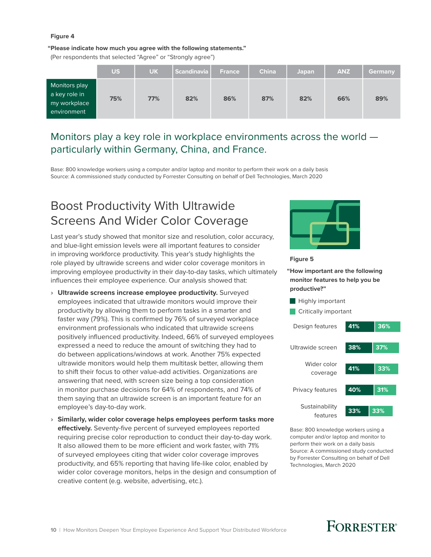#### <span id="page-11-0"></span>**Figure 4**

#### **"Please indicate how much you agree with the following statements."**

(Per respondents that selected "Agree" or "Strongly agree")

|                                                               | <b>US</b> | <b>UK</b> | <b>Scandinavia</b> | <b>France</b> | <b>China</b> | Japan | <b>ANZ</b> | <b>Germany</b> |
|---------------------------------------------------------------|-----------|-----------|--------------------|---------------|--------------|-------|------------|----------------|
| Monitors play<br>a key role in<br>my workplace<br>environment | 75%       | 77%       | 82%                | 86%           | 87%          | 82%   | 66%        | 89%            |

### Monitors play a key role in workplace environments across the world particularly within Germany, China, and France.

Base: 800 knowledge workers using a computer and/or laptop and monitor to perform their work on a daily basis Source: A commissioned study conducted by Forrester Consulting on behalf of Dell Technologies, March 2020

## Boost Productivity With Ultrawide Screens And Wider Color Coverage

Last year's study showed that monitor size and resolution, color accuracy, and blue-light emission levels were all important features to consider in improving workforce productivity. This year's study highlights the role played by ultrawide screens and wider color coverage monitors in improving employee productivity in their day-to-day tasks, which ultimately influences their employee experience. Our analysis showed that:

- › **Ultrawide screens increase employee productivity.** Surveyed employees indicated that ultrawide monitors would improve their productivity by allowing them to perform tasks in a smarter and faster way (79%). This is confirmed by 76% of surveyed workplace environment professionals who indicated that ultrawide screens positively influenced productivity. Indeed, 66% of surveyed employees expressed a need to reduce the amount of switching they had to do between applications/windows at work. Another 75% expected ultrawide monitors would help them multitask better, allowing them to shift their focus to other value-add activities. Organizations are answering that need, with screen size being a top consideration in monitor purchase decisions for 64% of respondents, and 74% of them saying that an ultrawide screen is an important feature for an employee's day-to-day work.
- › **Similarly, wider color coverage helps employees perform tasks more effectively.** Seventy-five percent of surveyed employees reported requiring precise color reproduction to conduct their day-to-day work. It also allowed them to be more efficient and work faster, with 71% of surveyed employees citing that wider color coverage improves productivity, and 65% reporting that having life-like color, enabled by wider color coverage monitors, helps in the design and consumption of creative content (e.g. website, advertising, etc.).



#### **Figure 5**

**"How important are the following monitor features to help you be productive?"** 

- **Highly important**
- **Critically important**



Base: 800 knowledge workers using a computer and/or laptop and monitor to perform their work on a daily basis Source: A commissioned study conducted by Forrester Consulting on behalf of Dell Technologies, March 2020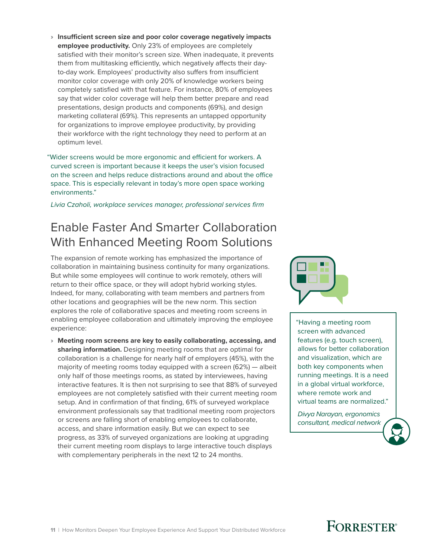<span id="page-12-0"></span>› **Insufficient screen size and poor color coverage negatively impacts employee productivity.** Only 23% of employees are completely satisfied with their monitor's screen size. When inadequate, it prevents them from multitasking efficiently, which negatively affects their dayto-day work. Employees' productivity also suffers from insufficient monitor color coverage with only 20% of knowledge workers being completely satisfied with that feature. For instance, 80% of employees say that wider color coverage will help them better prepare and read presentations, design products and components (69%), and design marketing collateral (69%). This represents an untapped opportunity for organizations to improve employee productivity, by providing their workforce with the right technology they need to perform at an optimum level.

"Wider screens would be more ergonomic and efficient for workers. A curved screen is important because it keeps the user's vision focused on the screen and helps reduce distractions around and about the office space. This is especially relevant in today's more open space working environments."

 *Livia Czaholi, workplace services manager, professional services firm*

## Enable Faster And Smarter Collaboration With Enhanced Meeting Room Solutions

The expansion of remote working has emphasized the importance of collaboration in maintaining business continuity for many organizations. But while some employees will continue to work remotely, others will return to their office space, or they will adopt hybrid working styles. Indeed, for many, collaborating with team members and partners from other locations and geographies will be the new norm. This section explores the role of collaborative spaces and meeting room screens in enabling employee collaboration and ultimately improving the employee experience:

› **Meeting room screens are key to easily collaborating, accessing, and sharing information.** Designing meeting rooms that are optimal for collaboration is a challenge for nearly half of employers (45%), with the majority of meeting rooms today equipped with a screen (62%) — albeit only half of those meetings rooms, as stated by interviewees, having interactive features. It is then not surprising to see that 88% of surveyed employees are not completely satisfied with their current meeting room setup. And in confirmation of that finding, 61% of surveyed workplace environment professionals say that traditional meeting room projectors or screens are falling short of enabling employees to collaborate, access, and share information easily. But we can expect to see progress, as 33% of surveyed organizations are looking at upgrading their current meeting room displays to large interactive touch displays with complementary peripherals in the next 12 to 24 months.



 "Having a meeting room screen with advanced features (e.g. touch screen), allows for better collaboration and visualization, which are both key components when running meetings. It is a need in a global virtual workforce, where remote work and virtual teams are normalized."

 *Divya Narayan, ergonomics consultant, medical network*

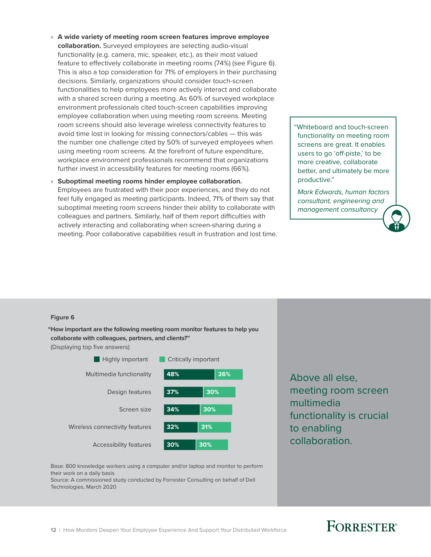› **A wide variety of meeting room screen features improve employee collaboration.** Surveyed employees are selecting audio-visual functionality (e.g. camera, mic, speaker, etc.), as their most valued feature to effectively collaborate in meeting rooms (74%) (see Figure 6). This is also a top consideration for 71% of employers in their purchasing decisions. Similarly, organizations should consider touch-screen functionalities to help employees more actively interact and collaborate with a shared screen during a meeting. As 60% of surveyed workplace environment professionals cited touch-screen capabilities improving employee collaboration when using meeting room screens. Meeting room screens should also leverage wireless connectivity features to avoid time lost in looking for missing connectors/cables — this was the number one challenge cited by 50% of surveyed employees when using meeting room screens. At the forefront of future expenditure, workplace environment professionals recommend that organizations further invest in accessibility features for meeting rooms (66%).

#### › **Suboptimal meeting rooms hinder employee collaboration.**

Employees are frustrated with their poor experiences, and they do not feel fully engaged as meeting participants. Indeed, 71% of them say that suboptimal meeting room screens hinder their ability to collaborate with colleagues and partners. Similarly, half of them report difficulties with actively interacting and collaborating when screen-sharing during a meeting. Poor collaborative capabilities result in frustration and lost time. "Whiteboard and touch-screen functionality on meeting room screens are great. It enables users to go 'off-piste,' to be more creative, collaborate better, and ultimately be more productive."

 *Mark Edwards, human factors consultant, engineering and management consultancy*

#### **Figure 6**

**"How important are the following meeting room monitor features to help you collaborate with colleagues, partners, and clients?"**

(Displaying top five answers)



Above all else, meeting room screen multimedia functionality is crucial to enabling collaboration.

Base: 800 knowledge workers using a computer and/or laptop and monitor to perform their work on a daily basis

Source: A commissioned study conducted by Forrester Consulting on behalf of Dell Technologies, March 2020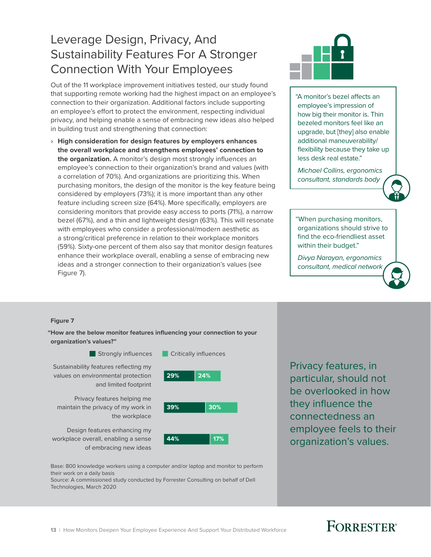## <span id="page-14-0"></span>Leverage Design, Privacy, And Sustainability Features For A Stronger Connection With Your Employees

Out of the 11 workplace improvement initiatives tested, our study found that supporting remote working had the highest impact on an employee's connection to their organization. Additional factors include supporting an employee's effort to protect the environment, respecting individual privacy, and helping enable a sense of embracing new ideas also helped in building trust and strengthening that connection:

› **High consideration for design features by employers enhances the overall workplace and strengthens employees' connection to the organization.** A monitor's design most strongly influences an employee's connection to their organization's brand and values (with a correlation of 70%). And organizations are prioritizing this. When purchasing monitors, the design of the monitor is the key feature being considered by employers (73%); it is more important than any other feature including screen size (64%). More specifically, employers are considering monitors that provide easy access to ports (71%), a narrow bezel (67%), and a thin and lightweight design (63%). This will resonate with employees who consider a professional/modern aesthetic as a strong/critical preference in relation to their workplace monitors (59%). Sixty-one percent of them also say that monitor design features enhance their workplace overall, enabling a sense of embracing new ideas and a stronger connection to their organization's values (see Figure 7).



"A monitor's bezel affects an employee's impression of how big their monitor is. Thin bezeled monitors feel like an upgrade, but [they] also enable additional maneuverability/ flexibility because they take up less desk real estate."

 *Michael Collins, ergonomics consultant, standards body*



"When purchasing monitors, organizations should strive to find the eco-friendliest asset within their budget."

 *Divya Narayan, ergonomics consultant, medical network*

#### **Figure 7**

**"How are the below monitor features influencing your connection to your organization's values?"**



Privacy features, in particular, should not be overlooked in how they influence the connectedness an employee feels to their organization's values.

Base: 800 knowledge workers using a computer and/or laptop and monitor to perform their work on a daily basis

of embracing new ideas

Source: A commissioned study conducted by Forrester Consulting on behalf of Dell Technologies, March 2020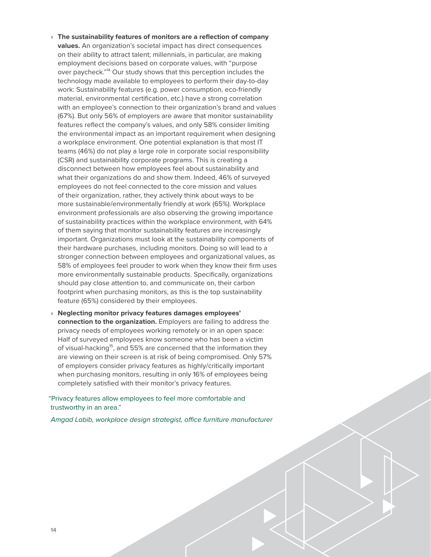- › **The sustainability features of monitors are a reflection of company values.** An organization's societal impact has direct consequences on their ability to attract talent; millennials, in particular, are making employment decisions based on corporate values, with "purpose over paycheck."<sup>14</sup> Our study shows that this perception includes the technology made available to employees to perform their day-to-day work: Sustainability features (e.g. power consumption, eco-friendly material, environmental certification, etc.) have a strong correlation with an employee's connection to their organization's brand and values (67%). But only 56% of employers are aware that monitor sustainability features reflect the company's values, and only 58% consider limiting the environmental impact as an important requirement when designing a workplace environment. One potential explanation is that most IT teams (46%) do not play a large role in corporate social responsibility (CSR) and sustainability corporate programs. This is creating a disconnect between how employees feel about sustainability and what their organizations do and show them. Indeed, 46% of surveyed employees do not feel connected to the core mission and values of their organization, rather, they actively think about ways to be more sustainable/environmentally friendly at work (65%). Workplace environment professionals are also observing the growing importance of sustainability practices within the workplace environment, with 64% of them saying that monitor sustainability features are increasingly important. Organizations must look at the sustainability components of their hardware purchases, including monitors. Doing so will lead to a stronger connection between employees and organizational values, as 58% of employees feel prouder to work when they know their firm uses more environmentally sustainable products. Specifically, organizations should pay close attention to, and communicate on, their carbon footprint when purchasing monitors, as this is the top sustainability feature (65%) considered by their employees.
- › **Neglecting monitor privacy features damages employees' connection to the organization.** Employers are failing to address the privacy needs of employees working remotely or in an open space: Half of surveyed employees know someone who has been a victim of visual-hacking<sup>15</sup>, and 55% are concerned that the information they are viewing on their screen is at risk of being compromised. Only 57% of employers consider privacy features as highly/critically important when purchasing monitors, resulting in only 16% of employees being completely satisfied with their monitor's privacy features.

"Privacy features allow employees to feel more comfortable and trustworthy in an area."

 *Amgad Labib, workplace design strategist, office furniture manufacturer*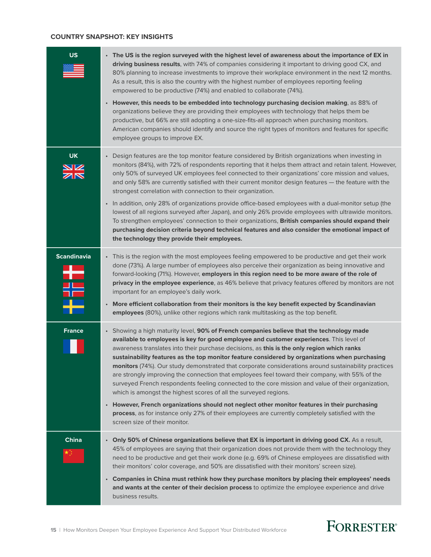#### **COUNTRY SNAPSHOT: KEY INSIGHTS**

| <b>US</b>               | • The US is the region surveyed with the highest level of awareness about the importance of EX in<br>driving business results, with 74% of companies considering it important to driving good CX, and<br>80% planning to increase investments to improve their workplace environment in the next 12 months.<br>As a result, this is also the country with the highest number of employees reporting feeling<br>empowered to be productive (74%) and enabled to collaborate (74%).<br>However, this needs to be embedded into technology purchasing decision making, as 88% of<br>$\bullet$<br>organizations believe they are providing their employees with technology that helps them be<br>productive, but 66% are still adopting a one-size-fits-all approach when purchasing monitors.<br>American companies should identify and source the right types of monitors and features for specific<br>employee groups to improve EX.                                                                                        |
|-------------------------|----------------------------------------------------------------------------------------------------------------------------------------------------------------------------------------------------------------------------------------------------------------------------------------------------------------------------------------------------------------------------------------------------------------------------------------------------------------------------------------------------------------------------------------------------------------------------------------------------------------------------------------------------------------------------------------------------------------------------------------------------------------------------------------------------------------------------------------------------------------------------------------------------------------------------------------------------------------------------------------------------------------------------|
| <b>UK</b>               | Design features are the top monitor feature considered by British organizations when investing in<br>$\bullet$<br>monitors (84%), with 72% of respondents reporting that it helps them attract and retain talent. However,<br>only 50% of surveyed UK employees feel connected to their organizations' core mission and values,<br>and only 58% are currently satisfied with their current monitor design features - the feature with the<br>strongest correlation with connection to their organization.<br>• In addition, only 28% of organizations provide office-based employees with a dual-monitor setup (the<br>lowest of all regions surveyed after Japan), and only 26% provide employees with ultrawide monitors.<br>To strengthen employees' connection to their organizations, British companies should expand their<br>purchasing decision criteria beyond technical features and also consider the emotional impact of<br>the technology they provide their employees.                                       |
| <b>Scandinavia</b><br>ŧ | • This is the region with the most employees feeling empowered to be productive and get their work<br>done (73%). A large number of employees also perceive their organization as being innovative and<br>forward-looking (71%). However, employers in this region need to be more aware of the role of<br>privacy in the employee experience, as 46% believe that privacy features offered by monitors are not<br>important for an employee's daily work.<br>• More efficient collaboration from their monitors is the key benefit expected by Scandinavian<br>employees (80%), unlike other regions which rank multitasking as the top benefit.                                                                                                                                                                                                                                                                                                                                                                          |
| <b>France</b>           | Showing a high maturity level, 90% of French companies believe that the technology made<br>$\bullet$<br>available to employees is key for good employee and customer experiences. This level of<br>awareness translates into their purchase decisions, as this is the only region which ranks<br>sustainability features as the top monitor feature considered by organizations when purchasing<br>monitors (74%). Our study demonstrated that corporate considerations around sustainability practices<br>are strongly improving the connection that employees feel toward their company, with 55% of the<br>surveyed French respondents feeling connected to the core mission and value of their organization,<br>which is amongst the highest scores of all the surveyed regions.<br>• However, French organizations should not neglect other monitor features in their purchasing<br>process, as for instance only 27% of their employees are currently completely satisfied with the<br>screen size of their monitor. |
| <b>China</b>            | Only 50% of Chinese organizations believe that EX is important in driving good CX. As a result,<br>$\bullet$<br>45% of employees are saying that their organization does not provide them with the technology they<br>need to be productive and get their work done (e.g. 69% of Chinese employees are dissatisfied with<br>their monitors' color coverage, and 50% are dissatisfied with their monitors' screen size).<br>Companies in China must rethink how they purchase monitors by placing their employees' needs<br>$\bullet$<br>and wants at the center of their decision process to optimize the employee experience and drive<br>business results.                                                                                                                                                                                                                                                                                                                                                               |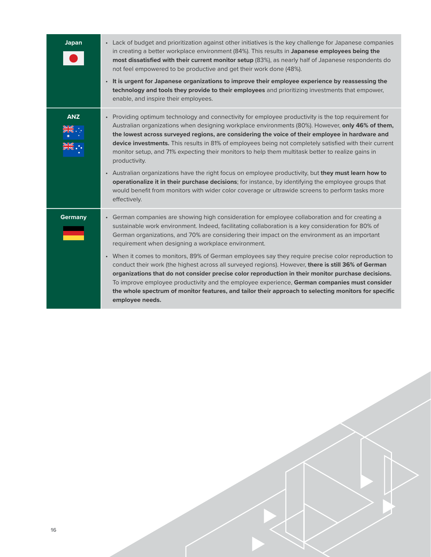| <b>Japan</b>   | • Lack of budget and prioritization against other initiatives is the key challenge for Japanese companies<br>in creating a better workplace environment (84%). This results in Japanese employees being the<br>most dissatisfied with their current monitor setup (83%), as nearly half of Japanese respondents do<br>not feel empowered to be productive and get their work done (48%).<br>• It is urgent for Japanese organizations to improve their employee experience by reassessing the<br>technology and tools they provide to their employees and prioritizing investments that empower,<br>enable, and inspire their employees.                                                                                                                                                                                                                                                                     |
|----------------|--------------------------------------------------------------------------------------------------------------------------------------------------------------------------------------------------------------------------------------------------------------------------------------------------------------------------------------------------------------------------------------------------------------------------------------------------------------------------------------------------------------------------------------------------------------------------------------------------------------------------------------------------------------------------------------------------------------------------------------------------------------------------------------------------------------------------------------------------------------------------------------------------------------|
| <b>ANZ</b>     | • Providing optimum technology and connectivity for employee productivity is the top requirement for<br>Australian organizations when designing workplace environments (80%). However, only 46% of them,<br>the lowest across surveyed regions, are considering the voice of their employee in hardware and<br>device investments. This results in 81% of employees being not completely satisfied with their current<br>monitor setup, and 71% expecting their monitors to help them multitask better to realize gains in<br>productivity.<br>. Australian organizations have the right focus on employee productivity, but they must learn how to<br>operationalize it in their purchase decisions; for instance, by identifying the employee groups that<br>would benefit from monitors with wider color coverage or ultrawide screens to perform tasks more<br>effectively.                              |
| <b>Germany</b> | • German companies are showing high consideration for employee collaboration and for creating a<br>sustainable work environment. Indeed, facilitating collaboration is a key consideration for 80% of<br>German organizations, and 70% are considering their impact on the environment as an important<br>requirement when designing a workplace environment.<br>• When it comes to monitors, 89% of German employees say they require precise color reproduction to<br>conduct their work (the highest across all surveyed regions). However, there is still 36% of German<br>organizations that do not consider precise color reproduction in their monitor purchase decisions.<br>To improve employee productivity and the employee experience, German companies must consider<br>the whole spectrum of monitor features, and tailor their approach to selecting monitors for specific<br>employee needs. |
|                |                                                                                                                                                                                                                                                                                                                                                                                                                                                                                                                                                                                                                                                                                                                                                                                                                                                                                                              |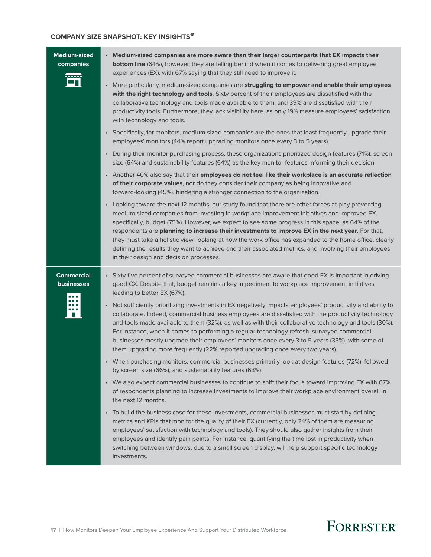### **COMPANY SIZE SNAPSHOT: KEY INSIGHTS16**

| <b>Medium-sized</b><br>companies | • Medium-sized companies are more aware than their larger counterparts that EX impacts their<br><b>bottom line</b> (64%), however, they are falling behind when it comes to delivering great employee                                                                                                                                                                                                                                                                                                                                                                                                                                                                     |
|----------------------------------|---------------------------------------------------------------------------------------------------------------------------------------------------------------------------------------------------------------------------------------------------------------------------------------------------------------------------------------------------------------------------------------------------------------------------------------------------------------------------------------------------------------------------------------------------------------------------------------------------------------------------------------------------------------------------|
|                                  | experiences (EX), with 67% saying that they still need to improve it.                                                                                                                                                                                                                                                                                                                                                                                                                                                                                                                                                                                                     |
|                                  | • More particularly, medium-sized companies are struggling to empower and enable their employees<br>with the right technology and tools. Sixty percent of their employees are dissatisfied with the<br>collaborative technology and tools made available to them, and 39% are dissatisfied with their<br>productivity tools. Furthermore, they lack visibility here, as only 19% measure employees' satisfaction<br>with technology and tools.                                                                                                                                                                                                                            |
|                                  | • Specifically, for monitors, medium-sized companies are the ones that least frequently upgrade their<br>employees' monitors (44% report upgrading monitors once every 3 to 5 years).                                                                                                                                                                                                                                                                                                                                                                                                                                                                                     |
|                                  | • During their monitor purchasing process, these organizations prioritized design features (71%), screen<br>size (64%) and sustainability features (64%) as the key monitor features informing their decision.                                                                                                                                                                                                                                                                                                                                                                                                                                                            |
|                                  | . Another 40% also say that their employees do not feel like their workplace is an accurate reflection<br>of their corporate values, nor do they consider their company as being innovative and<br>forward-looking (45%), hindering a stronger connection to the organization.                                                                                                                                                                                                                                                                                                                                                                                            |
|                                  | • Looking toward the next 12 months, our study found that there are other forces at play preventing<br>medium-sized companies from investing in workplace improvement initiatives and improved EX,<br>specifically, budget (75%). However, we expect to see some progress in this space, as 64% of the<br>respondents are planning to increase their investments to improve EX in the next year. For that,<br>they must take a holistic view, looking at how the work office has expanded to the home office, clearly<br>defining the results they want to achieve and their associated metrics, and involving their employees<br>in their design and decision processes. |
| <b>Commercial</b><br>businesses  | • Sixty-five percent of surveyed commercial businesses are aware that good EX is important in driving<br>good CX. Despite that, budget remains a key impediment to workplace improvement initiatives<br>leading to better EX (67%).                                                                                                                                                                                                                                                                                                                                                                                                                                       |
|                                  | • Not sufficiently prioritizing investments in EX negatively impacts employees' productivity and ability to<br>collaborate. Indeed, commercial business employees are dissatisfied with the productivity technology<br>and tools made available to them (32%), as well as with their collaborative technology and tools (30%).<br>For instance, when it comes to performing a regular technology refresh, surveyed commercial<br>businesses mostly upgrade their employees' monitors once every 3 to 5 years (33%), with some of<br>them upgrading more frequently (22% reported upgrading once every two years).                                                         |
|                                  | • When purchasing monitors, commercial businesses primarily look at design features (72%), followed<br>by screen size (66%), and sustainability features (63%).                                                                                                                                                                                                                                                                                                                                                                                                                                                                                                           |
|                                  | • We also expect commercial businesses to continue to shift their focus toward improving EX with 67%<br>of respondents planning to increase investments to improve their workplace environment overall in<br>the next 12 months.                                                                                                                                                                                                                                                                                                                                                                                                                                          |
|                                  | • To build the business case for these investments, commercial businesses must start by defining<br>metrics and KPIs that monitor the quality of their EX (currently, only 24% of them are measuring<br>employees' satisfaction with technology and tools). They should also gather insights from their<br>employees and identify pain points. For instance, quantifying the time lost in productivity when<br>switching between windows, due to a small screen display, will help support specific technology<br>investments.                                                                                                                                            |
|                                  |                                                                                                                                                                                                                                                                                                                                                                                                                                                                                                                                                                                                                                                                           |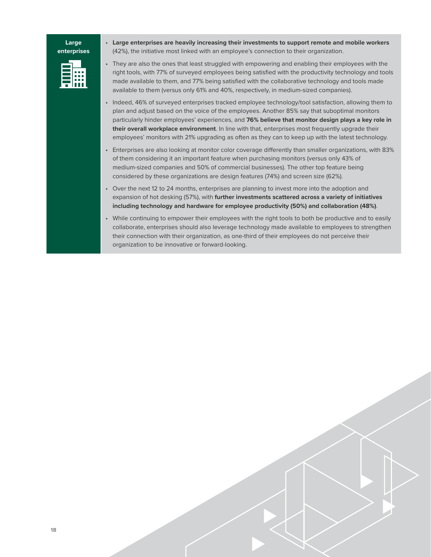#### **Large enterprises**

• **Large enterprises are heavily increasing their investments to support remote and mobile workers** (42%), the initiative most linked with an employee's connection to their organization.

• They are also the ones that least struggled with empowering and enabling their employees with the right tools, with 77% of surveyed employees being satisfied with the productivity technology and tools made available to them, and 77% being satisfied with the collaborative technology and tools made available to them (versus only 61% and 40%, respectively, in medium-sized companies).

- Indeed, 46% of surveyed enterprises tracked employee technology/tool satisfaction, allowing them to plan and adjust based on the voice of the employees. Another 85% say that suboptimal monitors particularly hinder employees' experiences, and **76% believe that monitor design plays a key role in their overall workplace environment**. In line with that, enterprises most frequently upgrade their employees' monitors with 21% upgrading as often as they can to keep up with the latest technology.
- Enterprises are also looking at monitor color coverage differently than smaller organizations, with 83% of them considering it an important feature when purchasing monitors (versus only 43% of medium-sized companies and 50% of commercial businesses). The other top feature being considered by these organizations are design features (74%) and screen size (62%).
- Over the next 12 to 24 months, enterprises are planning to invest more into the adoption and expansion of hot desking (57%), with **further investments scattered across a variety of initiatives including technology and hardware for employee productivity (50%) and collaboration (48%)**.
- While continuing to empower their employees with the right tools to both be productive and to easily collaborate, enterprises should also leverage technology made available to employees to strengthen their connection with their organization, as one-third of their employees do not perceive their organization to be innovative or forward-looking.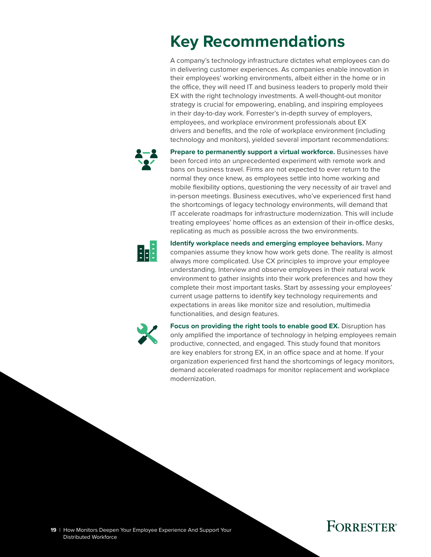# <span id="page-20-0"></span>**Key Recommendations**

A company's technology infrastructure dictates what employees can do in delivering customer experiences. As companies enable innovation in their employees' working environments, albeit either in the home or in the office, they will need IT and business leaders to properly mold their EX with the right technology investments. A well-thought-out monitor strategy is crucial for empowering, enabling, and inspiring employees in their day-to-day work. Forrester's in-depth survey of employers, employees, and workplace environment professionals about EX drivers and benefits, and the role of workplace environment (including technology and monitors), yielded several important recommendations:



**Prepare to permanently support a virtual workforce.** Businesses have been forced into an unprecedented experiment with remote work and bans on business travel. Firms are not expected to ever return to the normal they once knew, as employees settle into home working and mobile flexibility options, questioning the very necessity of air travel and in-person meetings. Business executives, who've experienced first hand the shortcomings of legacy technology environments, will demand that IT accelerate roadmaps for infrastructure modernization. This will include treating employees' home offices as an extension of their in-office desks, replicating as much as possible across the two environments.



**Identify workplace needs and emerging employee behaviors.** Many companies assume they know how work gets done. The reality is almost always more complicated. Use CX principles to improve your employee understanding. Interview and observe employees in their natural work environment to gather insights into their work preferences and how they complete their most important tasks. Start by assessing your employees' current usage patterns to identify key technology requirements and expectations in areas like monitor size and resolution, multimedia functionalities, and design features.



**Focus on providing the right tools to enable good EX.** Disruption has only amplified the importance of technology in helping employees remain productive, connected, and engaged. This study found that monitors are key enablers for strong EX, in an office space and at home. If your organization experienced first hand the shortcomings of legacy monitors, demand accelerated roadmaps for monitor replacement and workplace modernization.

## **FORRESTER®**

19 | How Monitors Deepen Your Employee Experience And Support Your Distributed Workforce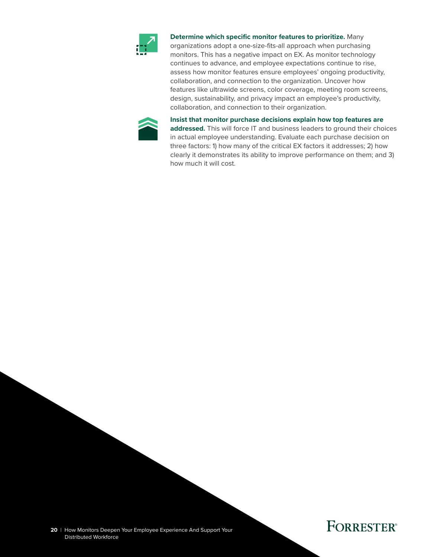

**Determine which specific monitor features to prioritize.** Many organizations adopt a one-size-fits-all approach when purchasing monitors. This has a negative impact on EX. As monitor technology continues to advance, and employee expectations continue to rise, assess how monitor features ensure employees' ongoing productivity, collaboration, and connection to the organization. Uncover how features like ultrawide screens, color coverage, meeting room screens, design, sustainability, and privacy impact an employee's productivity, collaboration, and connection to their organization.



**Insist that monitor purchase decisions explain how top features are** 

**addressed.** This will force IT and business leaders to ground their choices in actual employee understanding. Evaluate each purchase decision on three factors: 1) how many of the critical EX factors it addresses; 2) how clearly it demonstrates its ability to improve performance on them; and 3) how much it will cost.

**20** | How Monitors Deepen Your Employee Experience And Support Your Distributed Workforce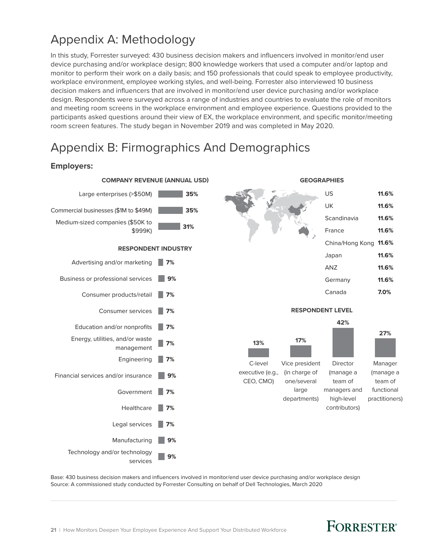## <span id="page-22-0"></span>Appendix A: Methodology

In this study, Forrester surveyed: 430 business decision makers and influencers involved in monitor/end user device purchasing and/or workplace design; 800 knowledge workers that used a computer and/or laptop and monitor to perform their work on a daily basis; and 150 professionals that could speak to employee productivity, workplace environment, employee working styles, and well-being. Forrester also interviewed 10 business decision makers and influencers that are involved in monitor/end user device purchasing and/or workplace design. Respondents were surveyed across a range of industries and countries to evaluate the role of monitors and meeting room screens in the workplace environment and employee experience. Questions provided to the participants asked questions around their view of EX, the workplace environment, and specific monitor/meeting room screen features. The study began in November 2019 and was completed in May 2020.

## Appendix B: Firmographics And Demographics

### **Employers:**



Base: 430 business decision makers and influencers involved in monitor/end user device purchasing and/or workplace design Source: A commissioned study conducted by Forrester Consulting on behalf of Dell Technologies, March 2020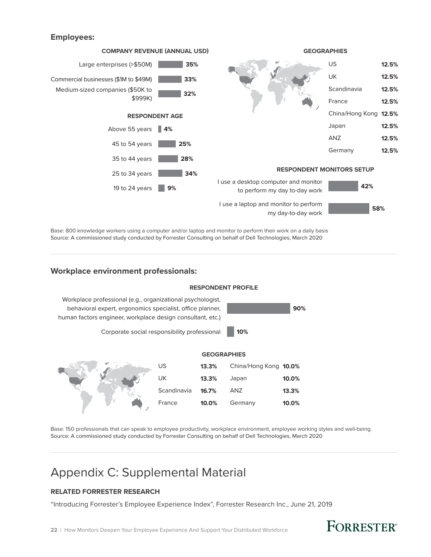### **Employees:**



Base: 800 knowledge workers using a computer and/or laptop and monitor to perform their work on a daily basis Source: A commissioned study conducted by Forrester Consulting on behalf of Dell Technologies, March 2020

### **Workplace environment professionals:**

#### **RESPONDENT PROFILE**



Base: 150 professionals that can speak to employee productivity, workplace environment, employee working styles and well-being. Source: A commissioned study conducted by Forrester Consulting on behalf of Dell Technologies, March 2020

### Appendix C: Supplemental Material

### **RELATED FORRESTER RESEARCH**

"Introducing Forrester's Employee Experience Index", Forrester Research Inc., June 21, 2019